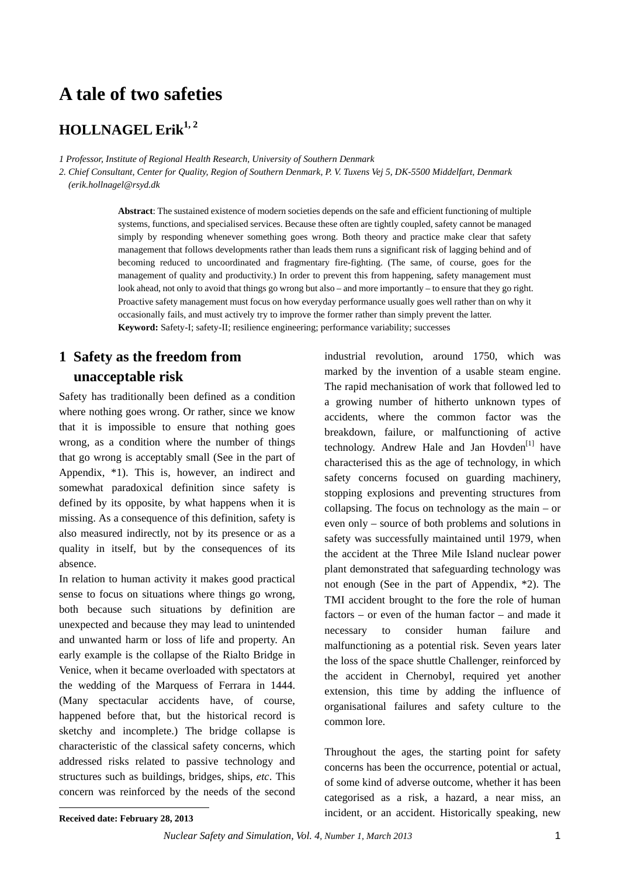# **A tale of two safeties**

## **HOLLNAGEL Erik**<sup>1,2</sup>

*1 Professor, Institute of Regional Health Research, University of Southern Denmark* 

*2. Chief Consultant, Center for Quality, Region of Southern Denmark, P. V. Tuxens Vej 5, DK-5500 Middelfart, Denmark (erik.hollnagel@rsyd.dk* 

> **Abstract**: The sustained existence of modern societies depends on the safe and efficient functioning of multiple systems, functions, and specialised services. Because these often are tightly coupled, safety cannot be managed simply by responding whenever something goes wrong. Both theory and practice make clear that safety management that follows developments rather than leads them runs a significant risk of lagging behind and of becoming reduced to uncoordinated and fragmentary fire-fighting. (The same, of course, goes for the management of quality and productivity.) In order to prevent this from happening, safety management must look ahead, not only to avoid that things go wrong but also – and more importantly – to ensure that they go right. Proactive safety management must focus on how everyday performance usually goes well rather than on why it occasionally fails, and must actively try to improve the former rather than simply prevent the latter. **Keyword:** Safety-I; safety-II; resilience engineering; performance variability; successes

## **1 Safety as the freedom from unacceptable risk1**

Safety has traditionally been defined as a condition where nothing goes wrong. Or rather, since we know that it is impossible to ensure that nothing goes wrong, as a condition where the number of things that go wrong is acceptably small (See in the part of Appendix, \*1). This is, however, an indirect and somewhat paradoxical definition since safety is defined by its opposite, by what happens when it is missing. As a consequence of this definition, safety is also measured indirectly, not by its presence or as a quality in itself, but by the consequences of its absence.

In relation to human activity it makes good practical sense to focus on situations where things go wrong, both because such situations by definition are unexpected and because they may lead to unintended and unwanted harm or loss of life and property. An early example is the collapse of the Rialto Bridge in Venice, when it became overloaded with spectators at the wedding of the Marquess of Ferrara in 1444. (Many spectacular accidents have, of course, happened before that, but the historical record is sketchy and incomplete.) The bridge collapse is characteristic of the classical safety concerns, which addressed risks related to passive technology and structures such as buildings, bridges, ships, *etc*. This concern was reinforced by the needs of the second industrial revolution, around 1750, which was marked by the invention of a usable steam engine. The rapid mechanisation of work that followed led to a growing number of hitherto unknown types of accidents, where the common factor was the breakdown, failure, or malfunctioning of active technology. Andrew Hale and Jan Hovden<sup>[1]</sup> have characterised this as the age of technology, in which safety concerns focused on guarding machinery, stopping explosions and preventing structures from collapsing. The focus on technology as the main – or even only – source of both problems and solutions in safety was successfully maintained until 1979, when the accident at the Three Mile Island nuclear power plant demonstrated that safeguarding technology was not enough (See in the part of Appendix, \*2). The TMI accident brought to the fore the role of human factors – or even of the human factor – and made it necessary to consider human failure and malfunctioning as a potential risk. Seven years later the loss of the space shuttle Challenger, reinforced by the accident in Chernobyl, required yet another extension, this time by adding the influence of organisational failures and safety culture to the common lore.

Throughout the ages, the starting point for safety concerns has been the occurrence, potential or actual, of some kind of adverse outcome, whether it has been categorised as a risk, a hazard, a near miss, an incident, or an accident. Historically speaking, new

 $\overline{a}$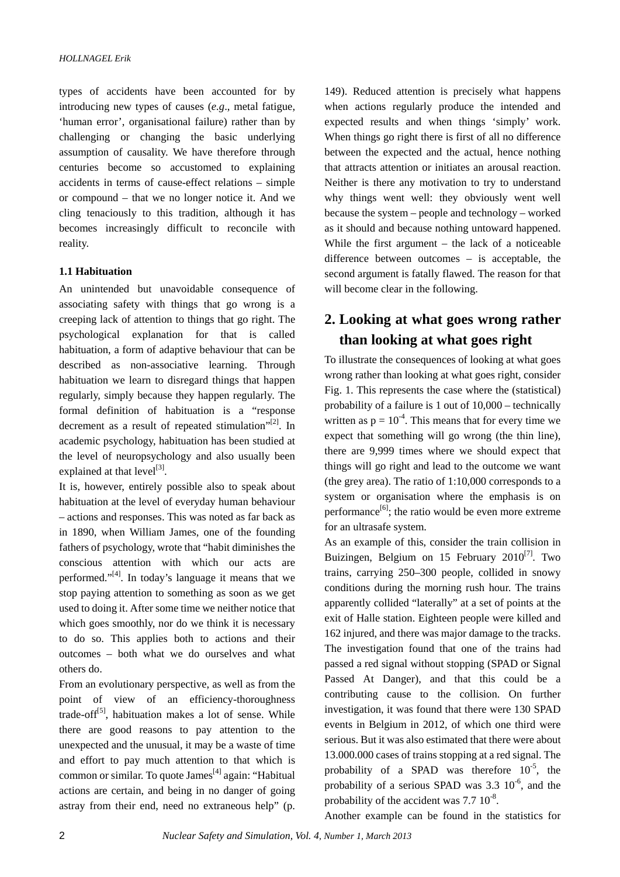types of accidents have been accounted for by introducing new types of causes (*e.g*., metal fatigue, 'human error', organisational failure) rather than by challenging or changing the basic underlying assumption of causality. We have therefore through centuries become so accustomed to explaining accidents in terms of cause-effect relations – simple or compound – that we no longer notice it. And we cling tenaciously to this tradition, although it has becomes increasingly difficult to reconcile with reality.

#### **1.1 Habituation**

An unintended but unavoidable consequence of associating safety with things that go wrong is a creeping lack of attention to things that go right. The psychological explanation for that is called habituation, a form of adaptive behaviour that can be described as non-associative learning. Through habituation we learn to disregard things that happen regularly, simply because they happen regularly. The formal definition of habituation is a "response decrement as a result of repeated stimulation" $[2]$ . In academic psychology, habituation has been studied at the level of neuropsychology and also usually been explained at that level<sup>[3]</sup>.

It is, however, entirely possible also to speak about habituation at the level of everyday human behaviour – actions and responses. This was noted as far back as in 1890, when William James, one of the founding fathers of psychology, wrote that "habit diminishes the conscious attention with which our acts are performed."[4]. In today's language it means that we stop paying attention to something as soon as we get used to doing it. After some time we neither notice that which goes smoothly, nor do we think it is necessary to do so. This applies both to actions and their outcomes – both what we do ourselves and what others do.

From an evolutionary perspective, as well as from the point of view of an efficiency-thoroughness trade-off $[5]$ , habituation makes a lot of sense. While there are good reasons to pay attention to the unexpected and the unusual, it may be a waste of time and effort to pay much attention to that which is common or similar. To quote James<sup>[4]</sup> again: "Habitual" actions are certain, and being in no danger of going astray from their end, need no extraneous help" (p. 149). Reduced attention is precisely what happens when actions regularly produce the intended and expected results and when things 'simply' work. When things go right there is first of all no difference between the expected and the actual, hence nothing that attracts attention or initiates an arousal reaction. Neither is there any motivation to try to understand why things went well: they obviously went well because the system – people and technology – worked as it should and because nothing untoward happened. While the first argument – the lack of a noticeable difference between outcomes – is acceptable, the second argument is fatally flawed. The reason for that will become clear in the following.

## **2. Looking at what goes wrong rather than looking at what goes right**

To illustrate the consequences of looking at what goes wrong rather than looking at what goes right, consider Fig. 1. This represents the case where the (statistical) probability of a failure is 1 out of 10,000 – technically written as  $p = 10^{-4}$ . This means that for every time we expect that something will go wrong (the thin line), there are 9,999 times where we should expect that things will go right and lead to the outcome we want (the grey area). The ratio of 1:10,000 corresponds to a system or organisation where the emphasis is on performance $^{[6]}$ ; the ratio would be even more extreme for an ultrasafe system.

As an example of this, consider the train collision in Buizingen, Belgium on 15 February  $2010^{[7]}$ . Two trains, carrying 250–300 people, collided in snowy conditions during the morning rush hour. The trains apparently collided "laterally" at a set of points at the exit of Halle station. Eighteen people were killed and 162 injured, and there was major damage to the tracks. The investigation found that one of the trains had passed a red signal without stopping (SPAD or Signal Passed At Danger), and that this could be a contributing cause to the collision. On further investigation, it was found that there were 130 SPAD events in Belgium in 2012, of which one third were serious. But it was also estimated that there were about 13.000.000 cases of trains stopping at a red signal. The probability of a SPAD was therefore  $10^{-5}$ , the probability of a serious SPAD was  $3.3 \times 10^{-6}$ , and the probability of the accident was 7.7  $10^{-8}$ .

Another example can be found in the statistics for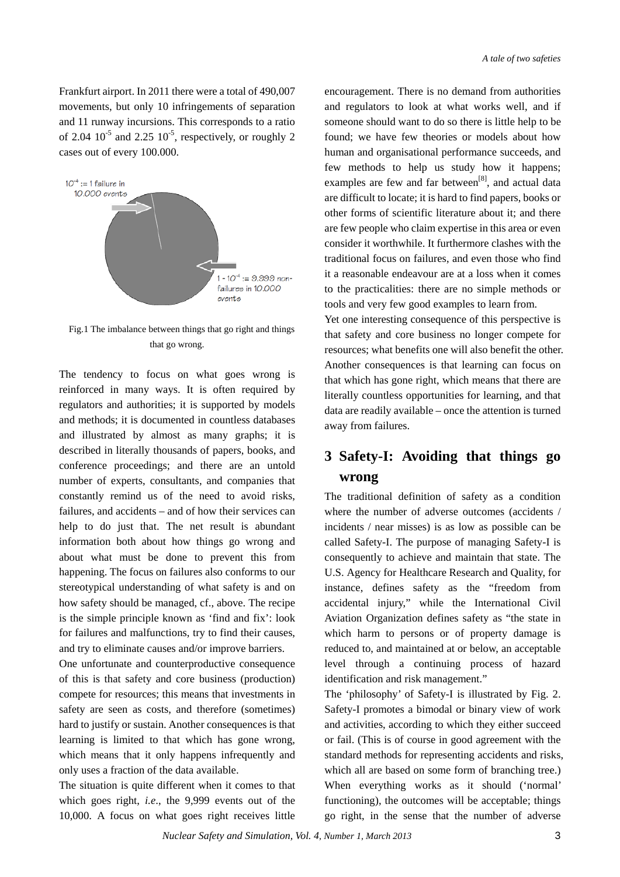Frankfurt airport. In 2011 there were a total of 490,007 movements, but only 10 infringements of separation and 11 runway incursions. This corresponds to a ratio of 2.04  $10^{-5}$  and 2.25  $10^{-5}$ , respectively, or roughly 2 cases out of every 100.000.



Fig.1 The imbalance between things that go right and things that go wrong.

The tendency to focus on what goes wrong is reinforced in many ways. It is often required by regulators and authorities; it is supported by models and methods; it is documented in countless databases and illustrated by almost as many graphs; it is described in literally thousands of papers, books, and conference proceedings; and there are an untold number of experts, consultants, and companies that constantly remind us of the need to avoid risks, failures, and accidents – and of how their services can help to do just that. The net result is abundant information both about how things go wrong and about what must be done to prevent this from happening. The focus on failures also conforms to our stereotypical understanding of what safety is and on how safety should be managed, cf., above. The recipe is the simple principle known as 'find and fix': look for failures and malfunctions, try to find their causes, and try to eliminate causes and/or improve barriers.

One unfortunate and counterproductive consequence of this is that safety and core business (production) compete for resources; this means that investments in safety are seen as costs, and therefore (sometimes) hard to justify or sustain. Another consequences is that learning is limited to that which has gone wrong, which means that it only happens infrequently and only uses a fraction of the data available.

The situation is quite different when it comes to that which goes right, *i.e*., the 9,999 events out of the 10,000. A focus on what goes right receives little

encouragement. There is no demand from authorities and regulators to look at what works well, and if someone should want to do so there is little help to be found; we have few theories or models about how human and organisational performance succeeds, and few methods to help us study how it happens; examples are few and far between $^{[8]}$ , and actual data are difficult to locate; it is hard to find papers, books or other forms of scientific literature about it; and there are few people who claim expertise in this area or even consider it worthwhile. It furthermore clashes with the traditional focus on failures, and even those who find it a reasonable endeavour are at a loss when it comes to the practicalities: there are no simple methods or tools and very few good examples to learn from.

Yet one interesting consequence of this perspective is that safety and core business no longer compete for resources; what benefits one will also benefit the other. Another consequences is that learning can focus on that which has gone right, which means that there are literally countless opportunities for learning, and that data are readily available – once the attention is turned away from failures.

### **3 Safety-I: Avoiding that things go wrong**

The traditional definition of safety as a condition where the number of adverse outcomes (accidents / incidents / near misses) is as low as possible can be called Safety-I. The purpose of managing Safety-I is consequently to achieve and maintain that state. The U.S. Agency for Healthcare Research and Quality, for instance, defines safety as the "freedom from accidental injury," while the International Civil Aviation Organization defines safety as "the state in which harm to persons or of property damage is reduced to, and maintained at or below, an acceptable level through a continuing process of hazard identification and risk management."

The 'philosophy' of Safety-I is illustrated by Fig. 2. Safety-I promotes a bimodal or binary view of work and activities, according to which they either succeed or fail. (This is of course in good agreement with the standard methods for representing accidents and risks, which all are based on some form of branching tree.) When everything works as it should ('normal' functioning), the outcomes will be acceptable; things go right, in the sense that the number of adverse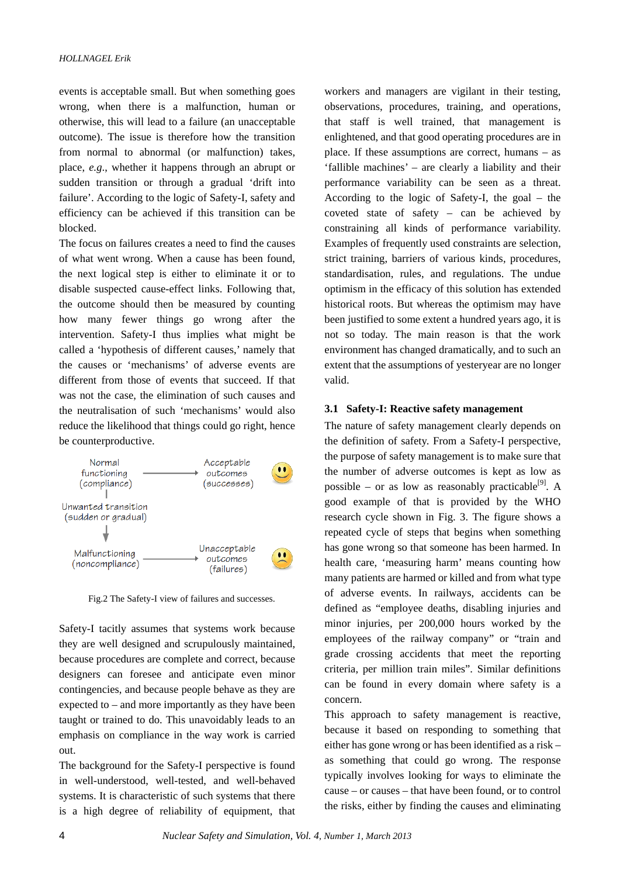events is acceptable small. But when something goes wrong, when there is a malfunction, human or otherwise, this will lead to a failure (an unacceptable outcome). The issue is therefore how the transition from normal to abnormal (or malfunction) takes, place, *e.g*., whether it happens through an abrupt or sudden transition or through a gradual 'drift into failure'. According to the logic of Safety-I, safety and efficiency can be achieved if this transition can be blocked.

The focus on failures creates a need to find the causes of what went wrong. When a cause has been found, the next logical step is either to eliminate it or to disable suspected cause-effect links. Following that, the outcome should then be measured by counting how many fewer things go wrong after the intervention. Safety-I thus implies what might be called a 'hypothesis of different causes,' namely that the causes or 'mechanisms' of adverse events are different from those of events that succeed. If that was not the case, the elimination of such causes and the neutralisation of such 'mechanisms' would also reduce the likelihood that things could go right, hence be counterproductive.



Fig.2 The Safety-I view of failures and successes.

Safety-I tacitly assumes that systems work because they are well designed and scrupulously maintained, because procedures are complete and correct, because designers can foresee and anticipate even minor contingencies, and because people behave as they are expected to – and more importantly as they have been taught or trained to do. This unavoidably leads to an emphasis on compliance in the way work is carried out.

The background for the Safety-I perspective is found in well-understood, well-tested, and well-behaved systems. It is characteristic of such systems that there is a high degree of reliability of equipment, that workers and managers are vigilant in their testing, observations, procedures, training, and operations, that staff is well trained, that management is enlightened, and that good operating procedures are in place. If these assumptions are correct, humans – as 'fallible machines' – are clearly a liability and their performance variability can be seen as a threat. According to the logic of Safety-I, the goal – the coveted state of safety – can be achieved by constraining all kinds of performance variability. Examples of frequently used constraints are selection, strict training, barriers of various kinds, procedures, standardisation, rules, and regulations. The undue optimism in the efficacy of this solution has extended historical roots. But whereas the optimism may have been justified to some extent a hundred years ago, it is not so today. The main reason is that the work environment has changed dramatically, and to such an extent that the assumptions of yesteryear are no longer valid.

#### **3.1 Safety-I: Reactive safety management**

The nature of safety management clearly depends on the definition of safety. From a Safety-I perspective, the purpose of safety management is to make sure that the number of adverse outcomes is kept as low as possible – or as low as reasonably practicable<sup>[9]</sup>. A good example of that is provided by the WHO research cycle shown in Fig. 3. The figure shows a repeated cycle of steps that begins when something has gone wrong so that someone has been harmed. In health care, 'measuring harm' means counting how many patients are harmed or killed and from what type of adverse events. In railways, accidents can be defined as "employee deaths, disabling injuries and minor injuries, per 200,000 hours worked by the employees of the railway company" or "train and grade crossing accidents that meet the reporting criteria, per million train miles". Similar definitions can be found in every domain where safety is a concern.

This approach to safety management is reactive, because it based on responding to something that either has gone wrong or has been identified as a risk – as something that could go wrong. The response typically involves looking for ways to eliminate the cause – or causes – that have been found, or to control the risks, either by finding the causes and eliminating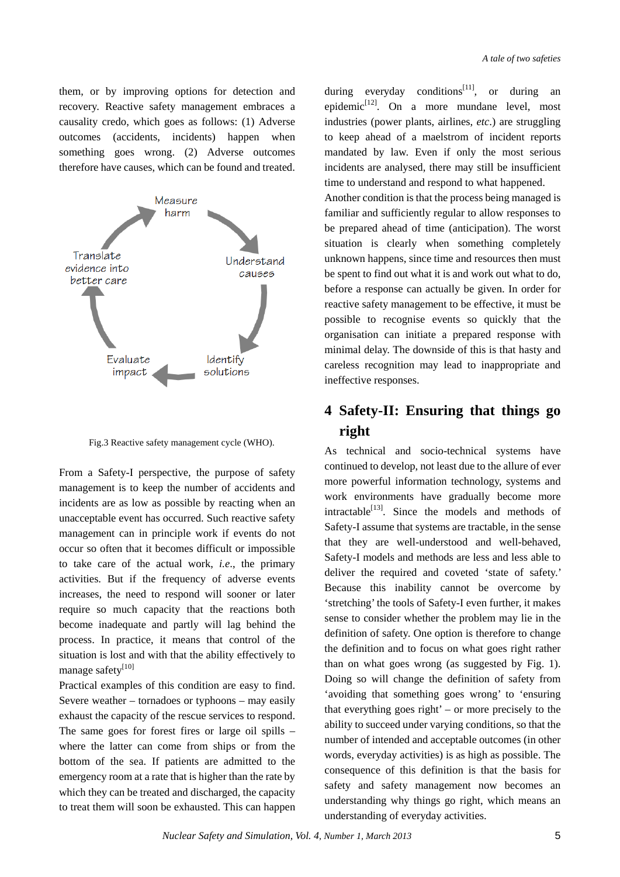them, or by improving options for detection and recovery. Reactive safety management embraces a causality credo, which goes as follows: (1) Adverse outcomes (accidents, incidents) happen when something goes wrong. (2) Adverse outcomes therefore have causes, which can be found and treated.





From a Safety-I perspective, the purpose of safety management is to keep the number of accidents and incidents are as low as possible by reacting when an unacceptable event has occurred. Such reactive safety management can in principle work if events do not occur so often that it becomes difficult or impossible to take care of the actual work, *i.e*., the primary activities. But if the frequency of adverse events increases, the need to respond will sooner or later require so much capacity that the reactions both become inadequate and partly will lag behind the process. In practice, it means that control of the situation is lost and with that the ability effectively to manage safety<sup>[10]</sup>

Practical examples of this condition are easy to find. Severe weather – tornadoes or typhoons – may easily exhaust the capacity of the rescue services to respond. The same goes for forest fires or large oil spills – where the latter can come from ships or from the bottom of the sea. If patients are admitted to the emergency room at a rate that is higher than the rate by which they can be treated and discharged, the capacity to treat them will soon be exhausted. This can happen during everyday conditions<sup>[11]</sup>, or during an epidemic $[12]$ . On a more mundane level, most industries (power plants, airlines, *etc*.) are struggling to keep ahead of a maelstrom of incident reports mandated by law. Even if only the most serious incidents are analysed, there may still be insufficient time to understand and respond to what happened.

Another condition is that the process being managed is familiar and sufficiently regular to allow responses to be prepared ahead of time (anticipation). The worst situation is clearly when something completely unknown happens, since time and resources then must be spent to find out what it is and work out what to do, before a response can actually be given. In order for reactive safety management to be effective, it must be possible to recognise events so quickly that the organisation can initiate a prepared response with minimal delay. The downside of this is that hasty and careless recognition may lead to inappropriate and ineffective responses.

## **4 Safety-II: Ensuring that things go right**

As technical and socio-technical systems have continued to develop, not least due to the allure of ever more powerful information technology, systems and work environments have gradually become more  $intractable^{[13]}$ . Since the models and methods of Safety-I assume that systems are tractable, in the sense that they are well-understood and well-behaved, Safety-I models and methods are less and less able to deliver the required and coveted 'state of safety.' Because this inability cannot be overcome by 'stretching' the tools of Safety-I even further, it makes sense to consider whether the problem may lie in the definition of safety. One option is therefore to change the definition and to focus on what goes right rather than on what goes wrong (as suggested by Fig. 1). Doing so will change the definition of safety from 'avoiding that something goes wrong' to 'ensuring that everything goes right' – or more precisely to the ability to succeed under varying conditions, so that the number of intended and acceptable outcomes (in other words, everyday activities) is as high as possible. The consequence of this definition is that the basis for safety and safety management now becomes an understanding why things go right, which means an understanding of everyday activities.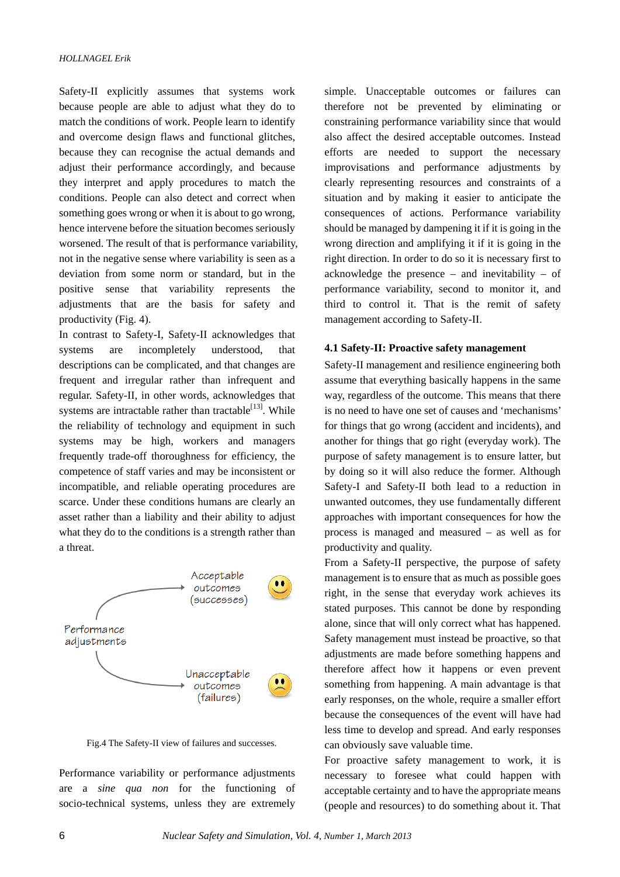Safety-II explicitly assumes that systems work because people are able to adjust what they do to match the conditions of work. People learn to identify and overcome design flaws and functional glitches, because they can recognise the actual demands and adjust their performance accordingly, and because they interpret and apply procedures to match the conditions. People can also detect and correct when something goes wrong or when it is about to go wrong, hence intervene before the situation becomes seriously worsened. The result of that is performance variability, not in the negative sense where variability is seen as a deviation from some norm or standard, but in the positive sense that variability represents the adjustments that are the basis for safety and productivity (Fig. 4).

In contrast to Safety-I, Safety-II acknowledges that systems are incompletely understood, that descriptions can be complicated, and that changes are frequent and irregular rather than infrequent and regular. Safety-II, in other words, acknowledges that systems are intractable rather than tractable<sup>[13]</sup>. While the reliability of technology and equipment in such systems may be high, workers and managers frequently trade-off thoroughness for efficiency, the competence of staff varies and may be inconsistent or incompatible, and reliable operating procedures are scarce. Under these conditions humans are clearly an asset rather than a liability and their ability to adjust what they do to the conditions is a strength rather than a threat.



Fig.4 The Safety-II view of failures and successes.

Performance variability or performance adjustments are a *sine qua non* for the functioning of socio-technical systems, unless they are extremely simple. Unacceptable outcomes or failures can therefore not be prevented by eliminating or constraining performance variability since that would also affect the desired acceptable outcomes. Instead efforts are needed to support the necessary improvisations and performance adjustments by clearly representing resources and constraints of a situation and by making it easier to anticipate the consequences of actions. Performance variability should be managed by dampening it if it is going in the wrong direction and amplifying it if it is going in the right direction. In order to do so it is necessary first to acknowledge the presence – and inevitability – of performance variability, second to monitor it, and third to control it. That is the remit of safety management according to Safety-II.

#### **4.1 Safety-II: Proactive safety management**

Safety-II management and resilience engineering both assume that everything basically happens in the same way, regardless of the outcome. This means that there is no need to have one set of causes and 'mechanisms' for things that go wrong (accident and incidents), and another for things that go right (everyday work). The purpose of safety management is to ensure latter, but by doing so it will also reduce the former. Although Safety-I and Safety-II both lead to a reduction in unwanted outcomes, they use fundamentally different approaches with important consequences for how the process is managed and measured – as well as for productivity and quality.

From a Safety-II perspective, the purpose of safety management is to ensure that as much as possible goes right, in the sense that everyday work achieves its stated purposes. This cannot be done by responding alone, since that will only correct what has happened. Safety management must instead be proactive, so that adjustments are made before something happens and therefore affect how it happens or even prevent something from happening. A main advantage is that early responses, on the whole, require a smaller effort because the consequences of the event will have had less time to develop and spread. And early responses can obviously save valuable time.

For proactive safety management to work, it is necessary to foresee what could happen with acceptable certainty and to have the appropriate means (people and resources) to do something about it. That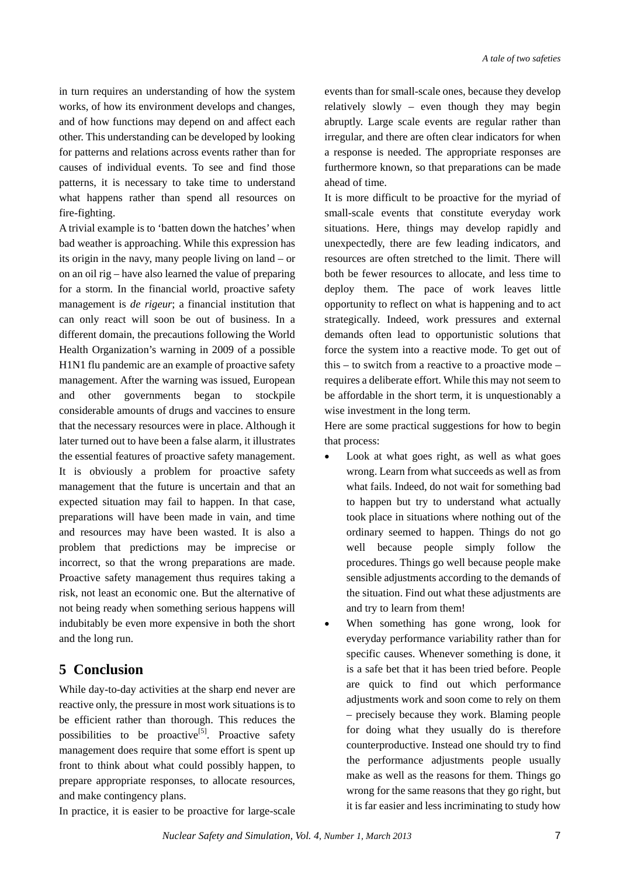in turn requires an understanding of how the system works, of how its environment develops and changes, and of how functions may depend on and affect each other. This understanding can be developed by looking for patterns and relations across events rather than for causes of individual events. To see and find those patterns, it is necessary to take time to understand what happens rather than spend all resources on fire-fighting.

A trivial example is to 'batten down the hatches' when bad weather is approaching. While this expression has its origin in the navy, many people living on land – or on an oil rig – have also learned the value of preparing for a storm. In the financial world, proactive safety management is *de rigeur*; a financial institution that can only react will soon be out of business. In a different domain, the precautions following the World Health Organization's warning in 2009 of a possible H1N1 flu pandemic are an example of proactive safety management. After the warning was issued, European and other governments began to stockpile considerable amounts of drugs and vaccines to ensure that the necessary resources were in place. Although it later turned out to have been a false alarm, it illustrates the essential features of proactive safety management. It is obviously a problem for proactive safety management that the future is uncertain and that an expected situation may fail to happen. In that case, preparations will have been made in vain, and time and resources may have been wasted. It is also a problem that predictions may be imprecise or incorrect, so that the wrong preparations are made. Proactive safety management thus requires taking a risk, not least an economic one. But the alternative of not being ready when something serious happens will indubitably be even more expensive in both the short and the long run.

#### **5 Conclusion**

While day-to-day activities at the sharp end never are reactive only, the pressure in most work situations is to be efficient rather than thorough. This reduces the possibilities to be proactive<sup>[5]</sup>. Proactive safety management does require that some effort is spent up front to think about what could possibly happen, to prepare appropriate responses, to allocate resources, and make contingency plans.

events than for small-scale ones, because they develop relatively slowly – even though they may begin abruptly. Large scale events are regular rather than irregular, and there are often clear indicators for when a response is needed. The appropriate responses are furthermore known, so that preparations can be made ahead of time.

It is more difficult to be proactive for the myriad of small-scale events that constitute everyday work situations. Here, things may develop rapidly and unexpectedly, there are few leading indicators, and resources are often stretched to the limit. There will both be fewer resources to allocate, and less time to deploy them. The pace of work leaves little opportunity to reflect on what is happening and to act strategically. Indeed, work pressures and external demands often lead to opportunistic solutions that force the system into a reactive mode. To get out of this – to switch from a reactive to a proactive mode – requires a deliberate effort. While this may not seem to be affordable in the short term, it is unquestionably a wise investment in the long term.

Here are some practical suggestions for how to begin that process:

- Look at what goes right, as well as what goes wrong. Learn from what succeeds as well as from what fails. Indeed, do not wait for something bad to happen but try to understand what actually took place in situations where nothing out of the ordinary seemed to happen. Things do not go well because people simply follow the procedures. Things go well because people make sensible adjustments according to the demands of the situation. Find out what these adjustments are and try to learn from them!
- When something has gone wrong, look for everyday performance variability rather than for specific causes. Whenever something is done, it is a safe bet that it has been tried before. People are quick to find out which performance adjustments work and soon come to rely on them – precisely because they work. Blaming people for doing what they usually do is therefore counterproductive. Instead one should try to find the performance adjustments people usually make as well as the reasons for them. Things go wrong for the same reasons that they go right, but it is far easier and less incriminating to study how

In practice, it is easier to be proactive for large-scale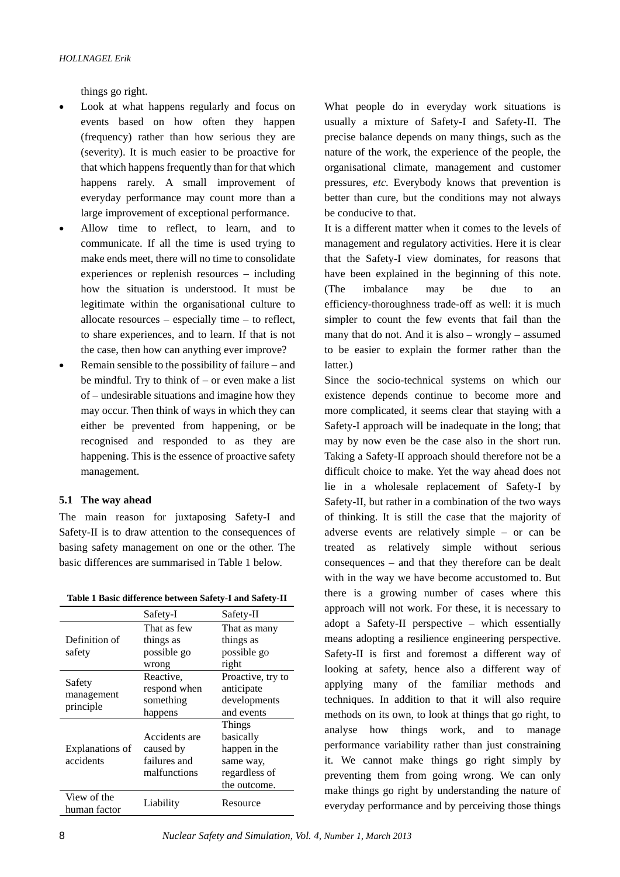things go right.

- Look at what happens regularly and focus on events based on how often they happen (frequency) rather than how serious they are (severity). It is much easier to be proactive for that which happens frequently than for that which happens rarely. A small improvement of everyday performance may count more than a large improvement of exceptional performance.
- Allow time to reflect, to learn, and to communicate. If all the time is used trying to make ends meet, there will no time to consolidate experiences or replenish resources – including how the situation is understood. It must be legitimate within the organisational culture to allocate resources – especially time – to reflect, to share experiences, and to learn. If that is not the case, then how can anything ever improve?
- Remain sensible to the possibility of failure and be mindful. Try to think of – or even make a list of – undesirable situations and imagine how they may occur. Then think of ways in which they can either be prevented from happening, or be recognised and responded to as they are happening. This is the essence of proactive safety management.

#### **5.1 The way ahead**

The main reason for juxtaposing Safety-I and Safety-II is to draw attention to the consequences of basing safety management on one or the other. The basic differences are summarised in Table 1 below.

|  |  |  |  |  | Table 1 Basic difference between Safety-I and Safety-II |
|--|--|--|--|--|---------------------------------------------------------|
|--|--|--|--|--|---------------------------------------------------------|

|                                   | Safety-I                                                   | Safety-II                                                                          |
|-----------------------------------|------------------------------------------------------------|------------------------------------------------------------------------------------|
| Definition of<br>safety           | That as few<br>things as<br>possible go<br>wrong           | That as many<br>things as<br>possible go<br>right                                  |
| Safety<br>management<br>principle | Reactive.<br>respond when<br>something<br>happens          | Proactive, try to<br>anticipate<br>developments<br>and events                      |
| Explanations of<br>accidents      | Accidents are<br>caused by<br>failures and<br>malfunctions | Things<br>basically<br>happen in the<br>same way,<br>regardless of<br>the outcome. |
| View of the<br>human factor       | Liability                                                  | Resource                                                                           |

What people do in everyday work situations is usually a mixture of Safety-I and Safety-II. The precise balance depends on many things, such as the nature of the work, the experience of the people, the organisational climate, management and customer pressures, *etc*. Everybody knows that prevention is better than cure, but the conditions may not always be conducive to that.

It is a different matter when it comes to the levels of management and regulatory activities. Here it is clear that the Safety-I view dominates, for reasons that have been explained in the beginning of this note. (The imbalance may be due to an efficiency-thoroughness trade-off as well: it is much simpler to count the few events that fail than the many that do not. And it is also – wrongly – assumed to be easier to explain the former rather than the latter.)

Since the socio-technical systems on which our existence depends continue to become more and more complicated, it seems clear that staying with a Safety-I approach will be inadequate in the long; that may by now even be the case also in the short run. Taking a Safety-II approach should therefore not be a difficult choice to make. Yet the way ahead does not lie in a wholesale replacement of Safety-I by Safety-II, but rather in a combination of the two ways of thinking. It is still the case that the majority of adverse events are relatively simple – or can be treated as relatively simple without serious consequences – and that they therefore can be dealt with in the way we have become accustomed to. But there is a growing number of cases where this approach will not work. For these, it is necessary to adopt a Safety-II perspective – which essentially means adopting a resilience engineering perspective. Safety-II is first and foremost a different way of looking at safety, hence also a different way of applying many of the familiar methods and techniques. In addition to that it will also require methods on its own, to look at things that go right, to analyse how things work, and to manage performance variability rather than just constraining it. We cannot make things go right simply by preventing them from going wrong. We can only make things go right by understanding the nature of everyday performance and by perceiving those things